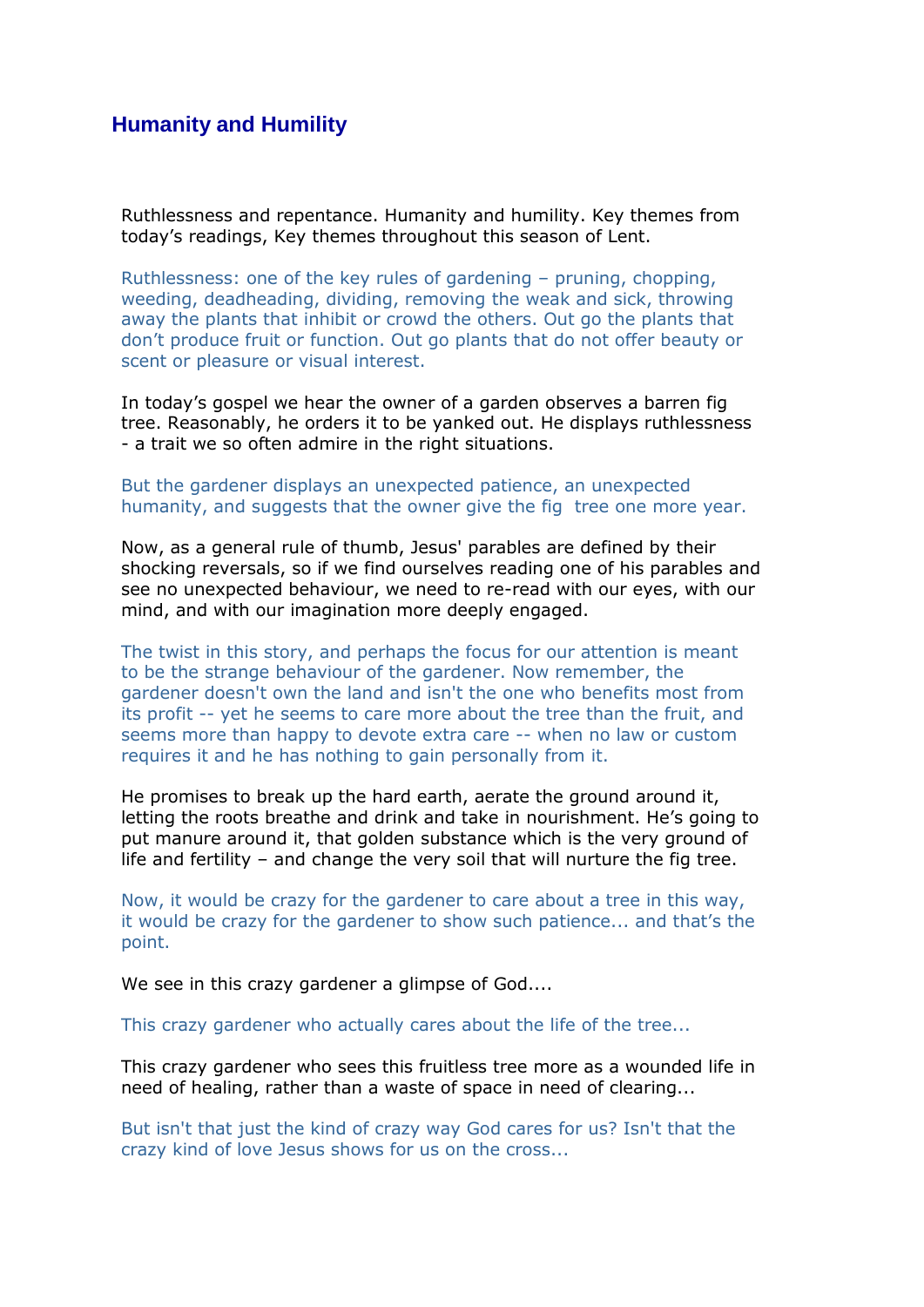## **Humanity and Humility**

Ruthlessness and repentance. Humanity and humility. Key themes from today's readings, Key themes throughout this season of Lent.

Ruthlessness: one of the key rules of gardening – pruning, chopping, weeding, deadheading, dividing, removing the weak and sick, throwing away the plants that inhibit or crowd the others. Out go the plants that don't produce fruit or function. Out go plants that do not offer beauty or scent or pleasure or visual interest.

In today's gospel we hear the owner of a garden observes a barren fig tree. Reasonably, he orders it to be yanked out. He displays ruthlessness - a trait we so often admire in the right situations.

## But the gardener displays an unexpected patience, an unexpected humanity, and suggests that the owner give the fig tree one more year.

Now, as a general rule of thumb, Jesus' parables are defined by their shocking reversals, so if we find ourselves reading one of his parables and see no unexpected behaviour, we need to re-read with our eyes, with our mind, and with our imagination more deeply engaged.

The twist in this story, and perhaps the focus for our attention is meant to be the strange behaviour of the gardener. Now remember, the gardener doesn't own the land and isn't the one who benefits most from its profit -- yet he seems to care more about the tree than the fruit, and seems more than happy to devote extra care -- when no law or custom requires it and he has nothing to gain personally from it.

He promises to break up the hard earth, aerate the ground around it, letting the roots breathe and drink and take in nourishment. He's going to put manure around it, that golden substance which is the very ground of life and fertility – and change the very soil that will nurture the fig tree.

Now, it would be crazy for the gardener to care about a tree in this way, it would be crazy for the gardener to show such patience... and that's the point.

We see in this crazy gardener a glimpse of God....

This crazy gardener who actually cares about the life of the tree...

This crazy gardener who sees this fruitless tree more as a wounded life in need of healing, rather than a waste of space in need of clearing...

But isn't that just the kind of crazy way God cares for us? Isn't that the crazy kind of love Jesus shows for us on the cross...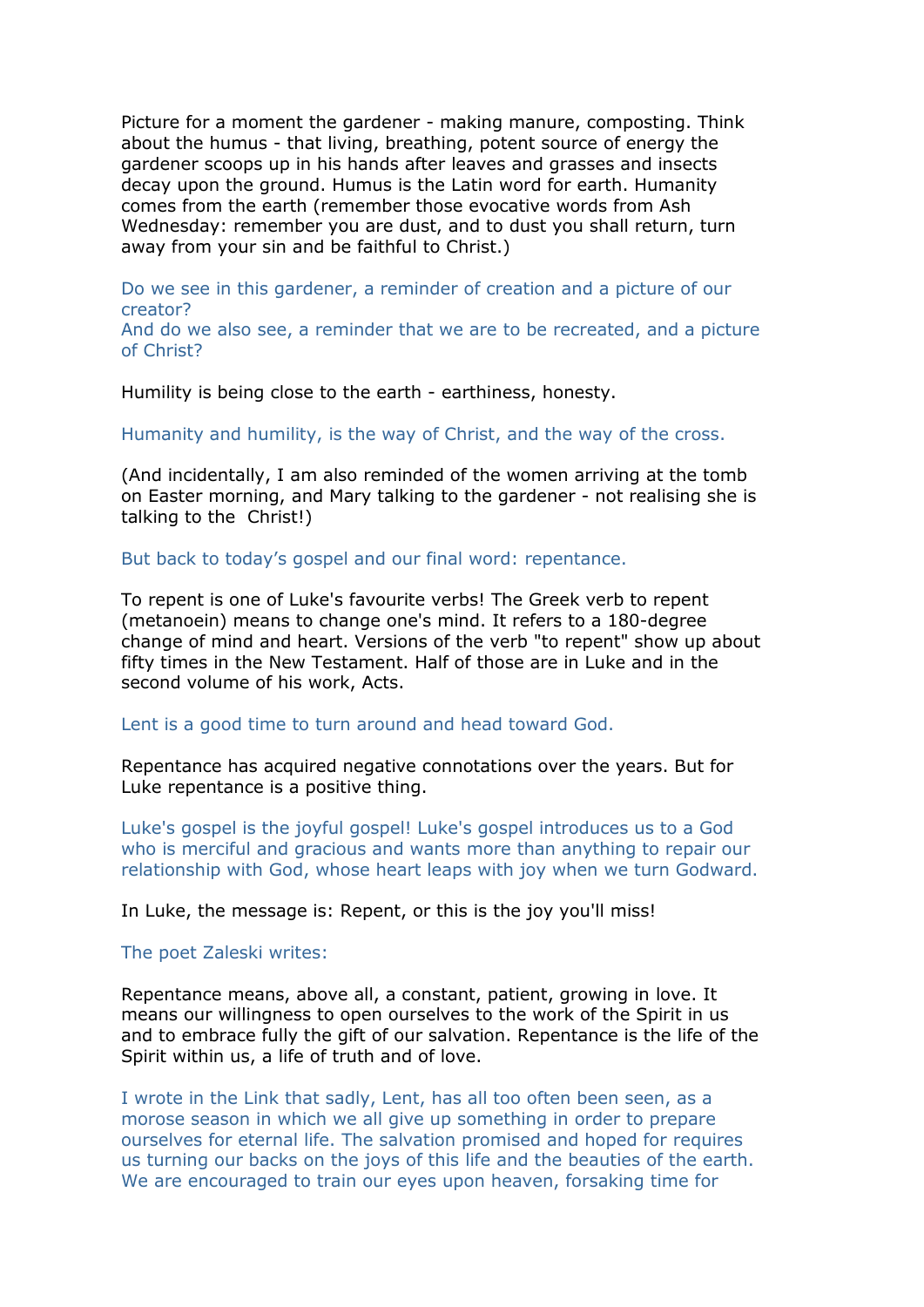Picture for a moment the gardener - making manure, composting. Think about the humus - that living, breathing, potent source of energy the gardener scoops up in his hands after leaves and grasses and insects decay upon the ground. Humus is the Latin word for earth. Humanity comes from the earth (remember those evocative words from Ash Wednesday: remember you are dust, and to dust you shall return, turn away from your sin and be faithful to Christ.)

Do we see in this gardener, a reminder of creation and a picture of our creator?

And do we also see, a reminder that we are to be recreated, and a picture of Christ?

Humility is being close to the earth - earthiness, honesty.

Humanity and humility, is the way of Christ, and the way of the cross.

(And incidentally, I am also reminded of the women arriving at the tomb on Easter morning, and Mary talking to the gardener - not realising she is talking to the Christ!)

But back to today's gospel and our final word: repentance.

To repent is one of Luke's favourite verbs! The Greek verb to repent (metanoein) means to change one's mind. It refers to a 180-degree change of mind and heart. Versions of the verb "to repent" show up about fifty times in the New Testament. Half of those are in Luke and in the second volume of his work, Acts.

Lent is a good time to turn around and head toward God.

Repentance has acquired negative connotations over the years. But for Luke repentance is a positive thing.

Luke's gospel is the joyful gospel! Luke's gospel introduces us to a God who is merciful and gracious and wants more than anything to repair our relationship with God, whose heart leaps with joy when we turn Godward.

In Luke, the message is: Repent, or this is the joy you'll miss!

The poet Zaleski writes:

Repentance means, above all, a constant, patient, growing in love. It means our willingness to open ourselves to the work of the Spirit in us and to embrace fully the gift of our salvation. Repentance is the life of the Spirit within us, a life of truth and of love.

I wrote in the Link that sadly, Lent, has all too often been seen, as a morose season in which we all give up something in order to prepare ourselves for eternal life. The salvation promised and hoped for requires us turning our backs on the joys of this life and the beauties of the earth. We are encouraged to train our eyes upon heaven, forsaking time for